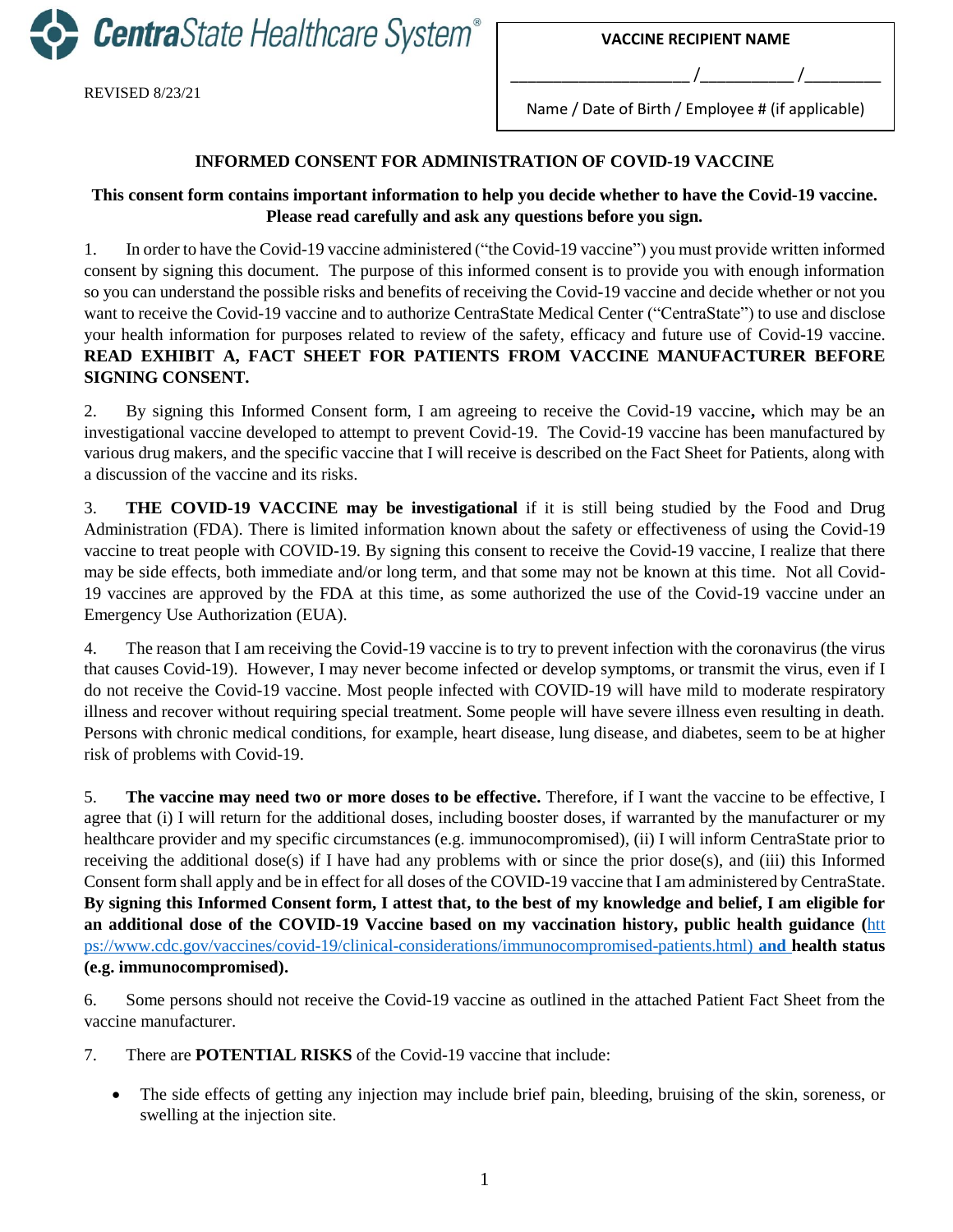**Centra**State Healthcare System®

REVISED 8/23/21

Name / Date of Birth / Employee # (if applicable)

\_\_\_\_\_\_\_\_\_\_\_\_\_\_\_\_\_\_\_\_\_ /\_\_\_\_\_\_\_\_\_\_\_ /\_\_\_\_\_\_\_\_\_

## **INFORMED CONSENT FOR ADMINISTRATION OF COVID-19 VACCINE**

## **This consent form contains important information to help you decide whether to have the Covid-19 vaccine. Please read carefully and ask any questions before you sign.**

1. In order to have the Covid-19 vaccine administered ("the Covid-19 vaccine") you must provide written informed consent by signing this document. The purpose of this informed consent is to provide you with enough information so you can understand the possible risks and benefits of receiving the Covid-19 vaccine and decide whether or not you want to receive the Covid-19 vaccine and to authorize CentraState Medical Center ("CentraState") to use and disclose your health information for purposes related to review of the safety, efficacy and future use of Covid-19 vaccine. **READ EXHIBIT A, FACT SHEET FOR PATIENTS FROM VACCINE MANUFACTURER BEFORE SIGNING CONSENT.**

2. By signing this Informed Consent form, I am agreeing to receive the Covid-19 vaccine**,** which may be an investigational vaccine developed to attempt to prevent Covid-19. The Covid-19 vaccine has been manufactured by various drug makers, and the specific vaccine that I will receive is described on the Fact Sheet for Patients, along with a discussion of the vaccine and its risks.

3. **THE COVID-19 VACCINE may be investigational** if it is still being studied by the Food and Drug Administration (FDA). There is limited information known about the safety or effectiveness of using the Covid-19 vaccine to treat people with COVID-19. By signing this consent to receive the Covid-19 vaccine, I realize that there may be side effects, both immediate and/or long term, and that some may not be known at this time. Not all Covid-19 vaccines are approved by the FDA at this time, as some authorized the use of the Covid-19 vaccine under an Emergency Use Authorization (EUA).

4. The reason that I am receiving the Covid-19 vaccine is to try to prevent infection with the coronavirus (the virus that causes Covid-19). However, I may never become infected or develop symptoms, or transmit the virus, even if I do not receive the Covid-19 vaccine. Most people infected with COVID-19 will have mild to moderate respiratory illness and recover without requiring special treatment. Some people will have severe illness even resulting in death. Persons with chronic medical conditions, for example, heart disease, lung disease, and diabetes, seem to be at higher risk of problems with Covid-19.

5. **The vaccine may need two or more doses to be effective.** Therefore, if I want the vaccine to be effective, I agree that (i) I will return for the additional doses, including booster doses, if warranted by the manufacturer or my healthcare provider and my specific circumstances (e.g. immunocompromised), (ii) I will inform CentraState prior to receiving the additional dose(s) if I have had any problems with or since the prior dose(s), and (iii) this Informed Consent form shall apply and be in effect for all doses of the COVID-19 vaccine that I am administered by CentraState. **By signing this Informed Consent form, I attest that, to the best of my knowledge and belief, I am eligible for an additional dose of the COVID-19 Vaccine based on my vaccination history, public health guidance (**[htt](https://www.cdc.gov/vaccines/covid-19/clinical-considerations/immunocompromised-patients.html) [ps://www.cdc.gov/vaccines/covid-19/clinical-considerations/immunocompromised-patients.html\)](https://www.cdc.gov/vaccines/covid-19/clinical-considerations/immunocompromised-patients.html) **and health status (e.g. immunocompromised).**

6. Some persons should not receive the Covid-19 vaccine as outlined in the attached Patient Fact Sheet from the vaccine manufacturer.

- 7. There are **POTENTIAL RISKS** of the Covid-19 vaccine that include:
	- The side effects of getting any injection may include brief pain, bleeding, bruising of the skin, soreness, or swelling at the injection site.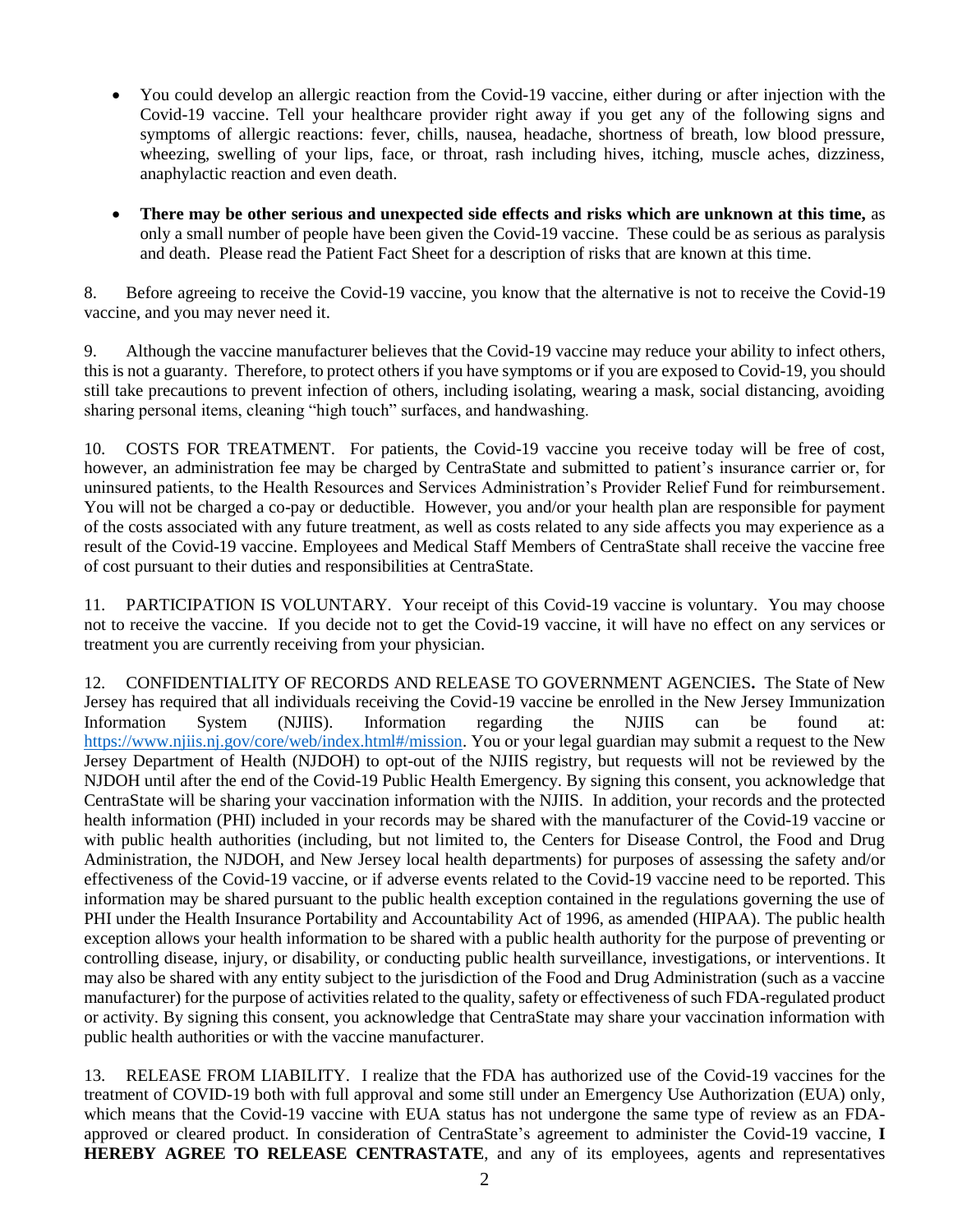- You could develop an allergic reaction from the Covid-19 vaccine, either during or after injection with the Covid-19 vaccine. Tell your healthcare provider right away if you get any of the following signs and symptoms of allergic reactions: fever, chills, nausea, headache, shortness of breath, low blood pressure, wheezing, swelling of your lips, face, or throat, rash including hives, itching, muscle aches, dizziness, anaphylactic reaction and even death.
- **There may be other serious and unexpected side effects and risks which are unknown at this time,** as only a small number of people have been given the Covid-19 vaccine. These could be as serious as paralysis and death. Please read the Patient Fact Sheet for a description of risks that are known at this time.

8. Before agreeing to receive the Covid-19 vaccine, you know that the alternative is not to receive the Covid-19 vaccine, and you may never need it.

9. Although the vaccine manufacturer believes that the Covid-19 vaccine may reduce your ability to infect others, this is not a guaranty. Therefore, to protect others if you have symptoms or if you are exposed to Covid-19, you should still take precautions to prevent infection of others, including isolating, wearing a mask, social distancing, avoiding sharing personal items, cleaning "high touch" surfaces, and handwashing.

10. COSTS FOR TREATMENT.For patients, the Covid-19 vaccine you receive today will be free of cost, however, an administration fee may be charged by CentraState and submitted to patient's insurance carrier or, for uninsured patients, to the Health Resources and Services Administration's Provider Relief Fund for reimbursement. You will not be charged a co-pay or deductible. However, you and/or your health plan are responsible for payment of the costs associated with any future treatment, as well as costs related to any side affects you may experience as a result of the Covid-19 vaccine. Employees and Medical Staff Members of CentraState shall receive the vaccine free of cost pursuant to their duties and responsibilities at CentraState.

11. PARTICIPATION IS VOLUNTARY.Your receipt of this Covid-19 vaccine is voluntary. You may choose not to receive the vaccine. If you decide not to get the Covid-19 vaccine, it will have no effect on any services or treatment you are currently receiving from your physician.

12. CONFIDENTIALITY OF RECORDS AND RELEASE TO GOVERNMENT AGENCIES**.** The State of New Jersey has required that all individuals receiving the Covid-19 vaccine be enrolled in the New Jersey Immunization Information System (NJIIS). Information regarding the NJIIS can be found at: [https://www.njiis.nj.gov/core/web/index.html#/mission.](https://www.njiis.nj.gov/core/web/index.html#/mission) You or your legal guardian may submit a request to the New Jersey Department of Health (NJDOH) to opt-out of the NJIIS registry, but requests will not be reviewed by the NJDOH until after the end of the Covid-19 Public Health Emergency. By signing this consent, you acknowledge that CentraState will be sharing your vaccination information with the NJIIS. In addition, your records and the protected health information (PHI) included in your records may be shared with the manufacturer of the Covid-19 vaccine or with public health authorities (including, but not limited to, the Centers for Disease Control, the Food and Drug Administration, the NJDOH, and New Jersey local health departments) for purposes of assessing the safety and/or effectiveness of the Covid-19 vaccine, or if adverse events related to the Covid-19 vaccine need to be reported. This information may be shared pursuant to the public health exception contained in the regulations governing the use of PHI under the Health Insurance Portability and Accountability Act of 1996, as amended (HIPAA). The public health exception allows your health information to be shared with a public health authority for the purpose of preventing or controlling disease, injury, or disability, or conducting public health surveillance, investigations, or interventions. It may also be shared with any entity subject to the jurisdiction of the Food and Drug Administration (such as a vaccine manufacturer) for the purpose of activities related to the quality, safety or effectiveness of such FDA-regulated product or activity. By signing this consent, you acknowledge that CentraState may share your vaccination information with public health authorities or with the vaccine manufacturer.

13. RELEASE FROM LIABILITY. I realize that the FDA has authorized use of the Covid-19 vaccines for the treatment of COVID-19 both with full approval and some still under an Emergency Use Authorization (EUA) only, which means that the Covid-19 vaccine with EUA status has not undergone the same type of review as an FDAapproved or cleared product. In consideration of CentraState's agreement to administer the Covid-19 vaccine, **I HEREBY AGREE TO RELEASE CENTRASTATE**, and any of its employees, agents and representatives